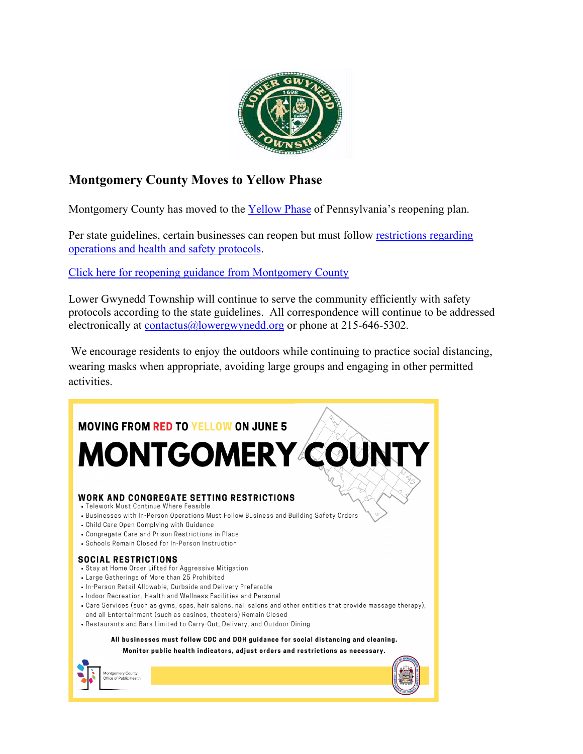

### **Montgomery County Moves to Yellow Phase**

Montgomery County has moved to the [Yellow Phase](https://www.governor.pa.gov/process-to-reopen-pennsylvania/) of Pennsylvania's reopening plan.

Per state guidelines, certain businesses can reopen but must follow restrictions regarding [operations and health and safety protocols.](https://www.governor.pa.gov/wp-content/uploads/2020/06/20200504-COVID-19-Business-Guidance.pdf)

[Click here for reopening guidance from Montgomery County](https://www.montcopa.org/3524/Reopening-Guidance)

Lower Gwynedd Township will continue to serve the community efficiently with safety protocols according to the state guidelines. All correspondence will continue to be addressed electronically at [contactus@lowergwynedd.org](mailto:contactus@lowergwynedd.org) or phone at 215-646-5302.

We encourage residents to enjoy the outdoors while continuing to practice social distancing, wearing masks when appropriate, avoiding large groups and engaging in other permitted activities.

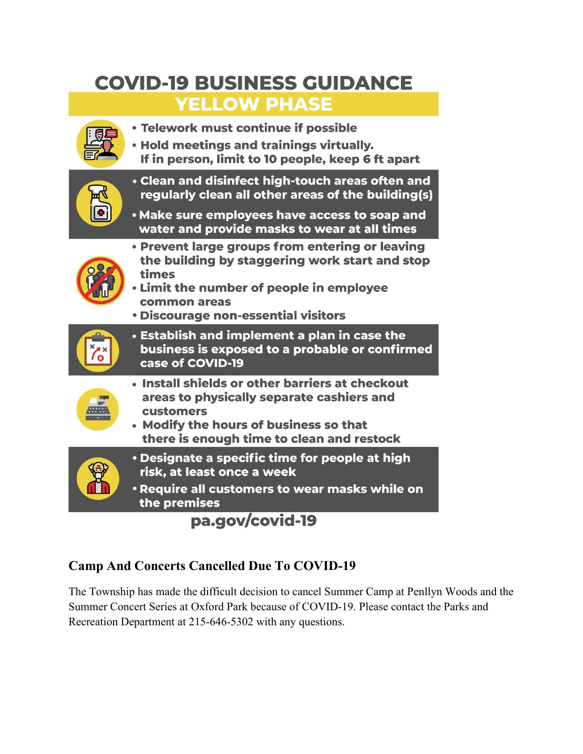# **COVID-19 BUSINESS GUIDANCE**

# **YELLOW PHASE**



pa.gov/covid-19

## **Camp And Concerts Cancelled Due To COVID-19**

The Township has made the difficult decision to cancel Summer Camp at Penllyn Woods and the Summer Concert Series at Oxford Park because of COVID-19. Please contact the Parks and Recreation Department at 215-646-5302 with any questions.